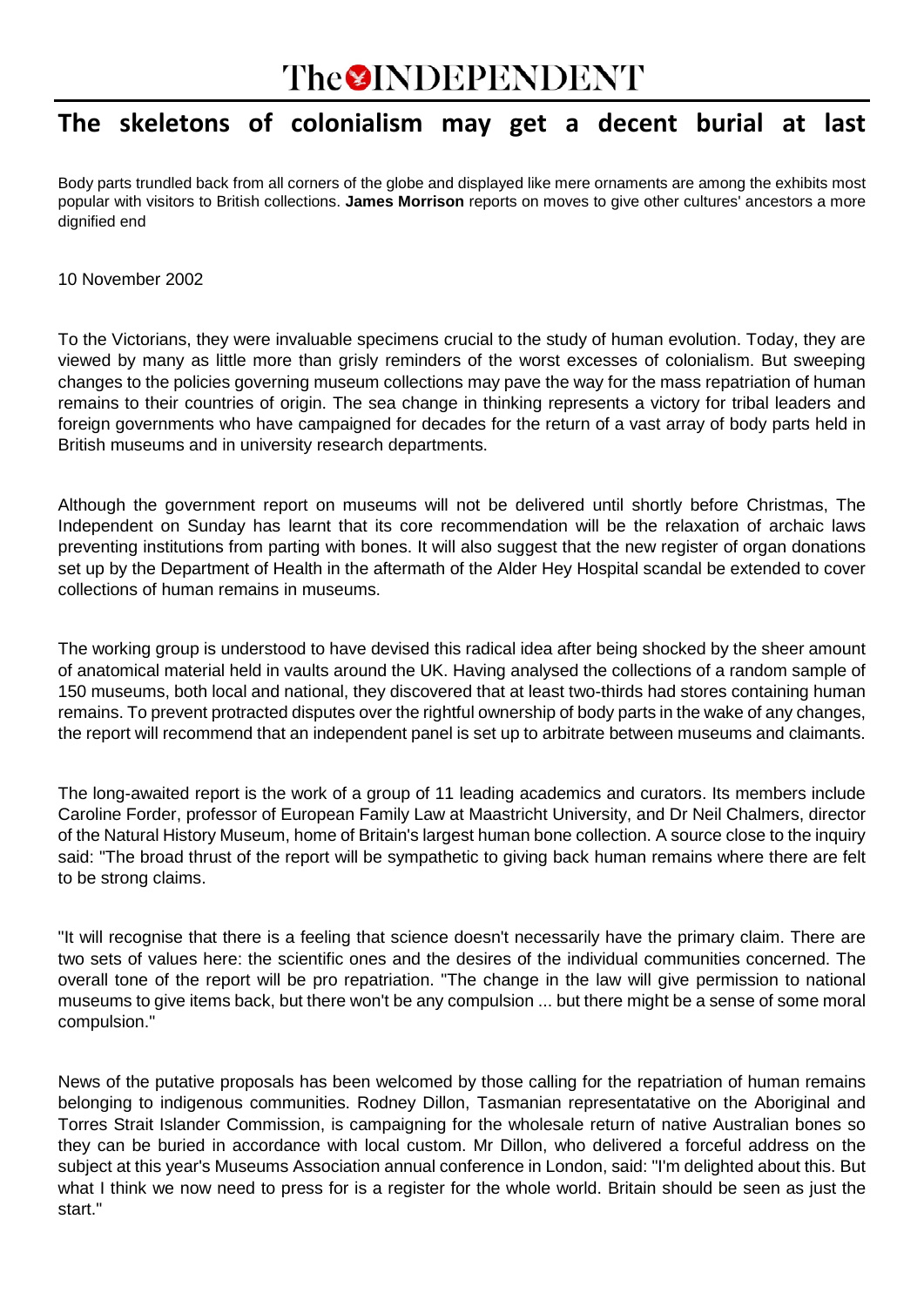# **The OINDEPENDENT**

## **The skeletons of colonialism may get a decent burial at last**

Body parts trundled back from all corners of the globe and displayed like mere ornaments are among the exhibits most popular with visitors to British collections. **James Morrison** reports on moves to give other cultures' ancestors a more dignified end

10 November 2002

To the Victorians, they were invaluable specimens crucial to the study of human evolution. Today, they are viewed by many as little more than grisly reminders of the worst excesses of colonialism. But sweeping changes to the policies governing museum collections may pave the way for the mass repatriation of human remains to their countries of origin. The sea change in thinking represents a victory for tribal leaders and foreign governments who have campaigned for decades for the return of a vast array of body parts held in British museums and in university research departments.

Although the government report on museums will not be delivered until shortly before Christmas, The Independent on Sunday has learnt that its core recommendation will be the relaxation of archaic laws preventing institutions from parting with bones. It will also suggest that the new register of organ donations set up by the Department of Health in the aftermath of the Alder Hey Hospital scandal be extended to cover collections of human remains in museums.

The working group is understood to have devised this radical idea after being shocked by the sheer amount of anatomical material held in vaults around the UK. Having analysed the collections of a random sample of 150 museums, both local and national, they discovered that at least two-thirds had stores containing human remains. To prevent protracted disputes over the rightful ownership of body parts in the wake of any changes, the report will recommend that an independent panel is set up to arbitrate between museums and claimants.

The long-awaited report is the work of a group of 11 leading academics and curators. Its members include Caroline Forder, professor of European Family Law at Maastricht University, and Dr Neil Chalmers, director of the Natural History Museum, home of Britain's largest human bone collection. A source close to the inquiry said: "The broad thrust of the report will be sympathetic to giving back human remains where there are felt to be strong claims.

"It will recognise that there is a feeling that science doesn't necessarily have the primary claim. There are two sets of values here: the scientific ones and the desires of the individual communities concerned. The overall tone of the report will be pro repatriation. "The change in the law will give permission to national museums to give items back, but there won't be any compulsion ... but there might be a sense of some moral compulsion."

News of the putative proposals has been welcomed by those calling for the repatriation of human remains belonging to indigenous communities. Rodney Dillon, Tasmanian representatative on the Aboriginal and Torres Strait Islander Commission, is campaigning for the wholesale return of native Australian bones so they can be buried in accordance with local custom. Mr Dillon, who delivered a forceful address on the subject at this year's Museums Association annual conference in London, said: "I'm delighted about this. But what I think we now need to press for is a register for the whole world. Britain should be seen as just the start."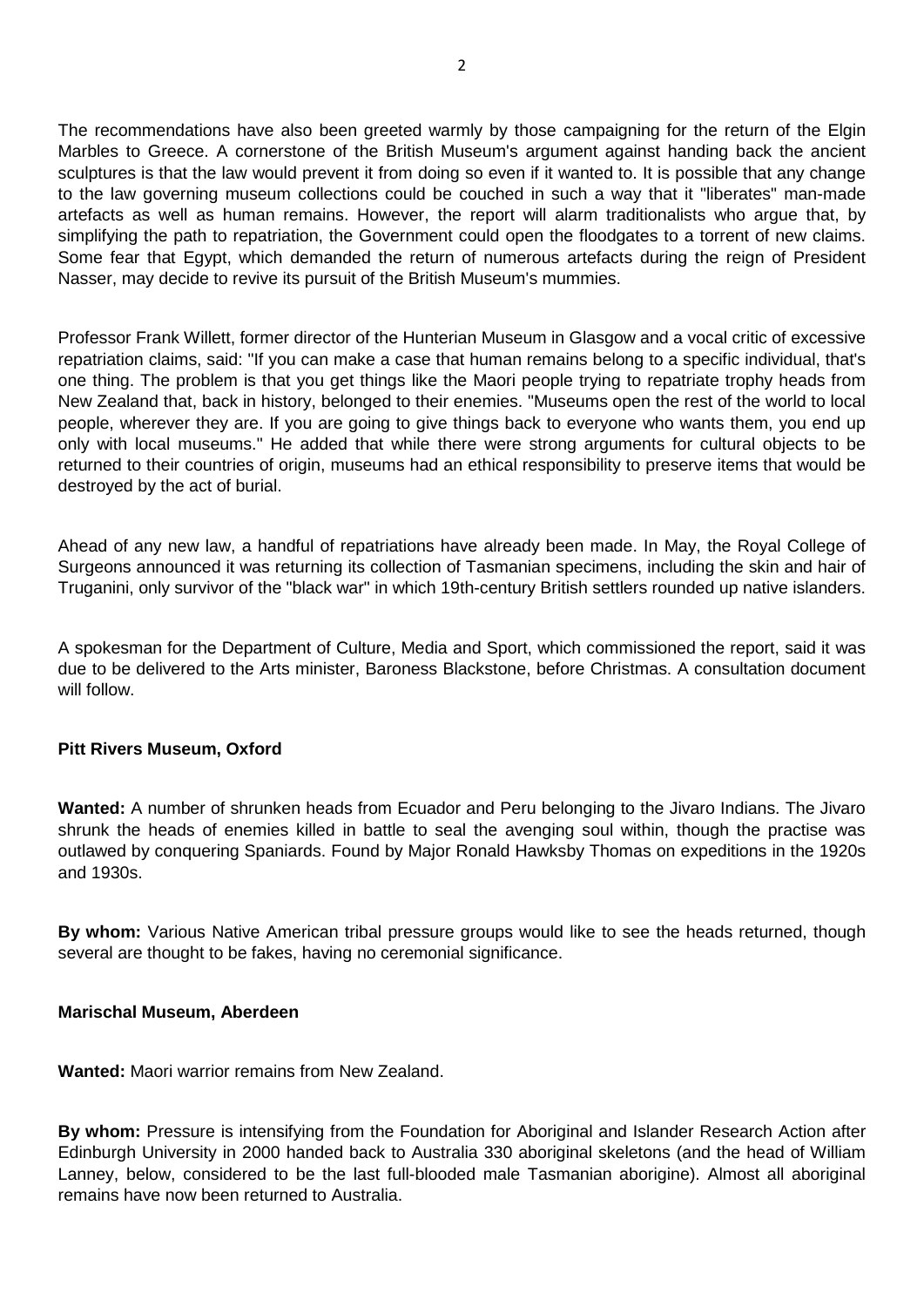The recommendations have also been greeted warmly by those campaigning for the return of the Elgin Marbles to Greece. A cornerstone of the British Museum's argument against handing back the ancient sculptures is that the law would prevent it from doing so even if it wanted to. It is possible that any change to the law governing museum collections could be couched in such a way that it "liberates" man-made artefacts as well as human remains. However, the report will alarm traditionalists who argue that, by simplifying the path to repatriation, the Government could open the floodgates to a torrent of new claims. Some fear that Egypt, which demanded the return of numerous artefacts during the reign of President Nasser, may decide to revive its pursuit of the British Museum's mummies.

Professor Frank Willett, former director of the Hunterian Museum in Glasgow and a vocal critic of excessive repatriation claims, said: "If you can make a case that human remains belong to a specific individual, that's one thing. The problem is that you get things like the Maori people trying to repatriate trophy heads from New Zealand that, back in history, belonged to their enemies. "Museums open the rest of the world to local people, wherever they are. If you are going to give things back to everyone who wants them, you end up only with local museums." He added that while there were strong arguments for cultural objects to be returned to their countries of origin, museums had an ethical responsibility to preserve items that would be destroyed by the act of burial.

Ahead of any new law, a handful of repatriations have already been made. In May, the Royal College of Surgeons announced it was returning its collection of Tasmanian specimens, including the skin and hair of Truganini, only survivor of the "black war" in which 19th-century British settlers rounded up native islanders.

A spokesman for the Department of Culture, Media and Sport, which commissioned the report, said it was due to be delivered to the Arts minister, Baroness Blackstone, before Christmas. A consultation document will follow.

#### **Pitt Rivers Museum, Oxford**

**Wanted:** A number of shrunken heads from Ecuador and Peru belonging to the Jivaro Indians. The Jivaro shrunk the heads of enemies killed in battle to seal the avenging soul within, though the practise was outlawed by conquering Spaniards. Found by Major Ronald Hawksby Thomas on expeditions in the 1920s and 1930s.

**By whom:** Various Native American tribal pressure groups would like to see the heads returned, though several are thought to be fakes, having no ceremonial significance.

#### **Marischal Museum, Aberdeen**

**Wanted:** Maori warrior remains from New Zealand.

**By whom:** Pressure is intensifying from the Foundation for Aboriginal and Islander Research Action after Edinburgh University in 2000 handed back to Australia 330 aboriginal skeletons (and the head of William Lanney, below, considered to be the last full-blooded male Tasmanian aborigine). Almost all aboriginal remains have now been returned to Australia.